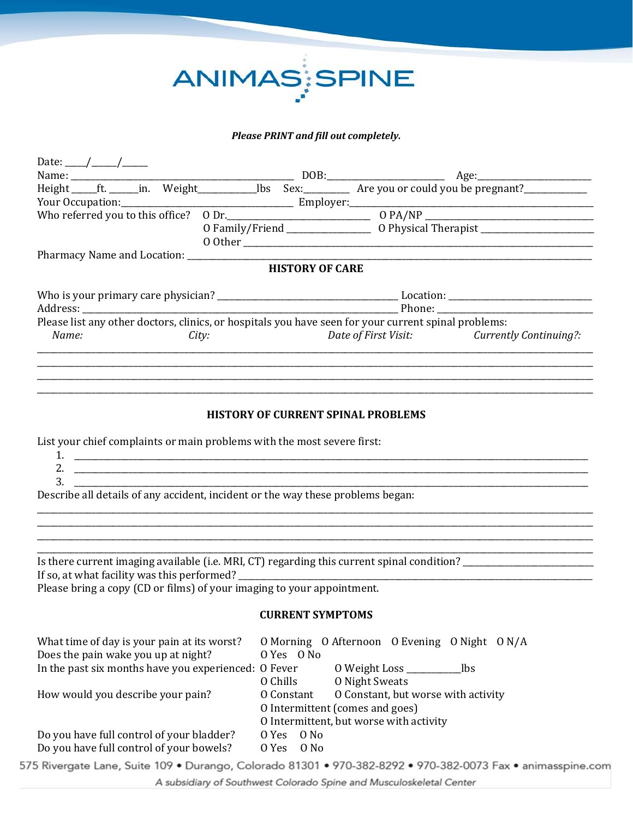# ANIMAS SPINE

# *Please PRINT and fill out completely.*

| Date: $\frac{\frac{1}{2}}{2}$                                                      |  |       |                                                                                 |          |                                 |                                           |                                                                                                                |
|------------------------------------------------------------------------------------|--|-------|---------------------------------------------------------------------------------|----------|---------------------------------|-------------------------------------------|----------------------------------------------------------------------------------------------------------------|
|                                                                                    |  |       |                                                                                 |          |                                 |                                           |                                                                                                                |
|                                                                                    |  |       |                                                                                 |          |                                 |                                           |                                                                                                                |
|                                                                                    |  |       |                                                                                 |          |                                 |                                           |                                                                                                                |
|                                                                                    |  |       |                                                                                 |          |                                 |                                           |                                                                                                                |
|                                                                                    |  |       |                                                                                 |          |                                 |                                           |                                                                                                                |
|                                                                                    |  |       |                                                                                 |          |                                 |                                           |                                                                                                                |
|                                                                                    |  |       |                                                                                 |          | <b>HISTORY OF CARE</b>          |                                           |                                                                                                                |
|                                                                                    |  |       |                                                                                 |          |                                 |                                           |                                                                                                                |
|                                                                                    |  |       |                                                                                 |          |                                 |                                           |                                                                                                                |
|                                                                                    |  |       |                                                                                 |          |                                 |                                           |                                                                                                                |
|                                                                                    |  |       |                                                                                 |          |                                 |                                           | Please list any other doctors, clinics, or hospitals you have seen for your current spinal problems:           |
| Name:                                                                              |  | City: |                                                                                 |          |                                 | Date of First Visit:                      | <b>Currently Continuing?:</b>                                                                                  |
|                                                                                    |  |       |                                                                                 |          |                                 |                                           |                                                                                                                |
|                                                                                    |  |       |                                                                                 |          |                                 |                                           |                                                                                                                |
|                                                                                    |  |       |                                                                                 |          |                                 |                                           |                                                                                                                |
|                                                                                    |  |       |                                                                                 |          |                                 |                                           |                                                                                                                |
|                                                                                    |  |       |                                                                                 |          |                                 |                                           |                                                                                                                |
|                                                                                    |  |       |                                                                                 |          |                                 | <b>HISTORY OF CURRENT SPINAL PROBLEMS</b> |                                                                                                                |
|                                                                                    |  |       | List your chief complaints or main problems with the most severe first:         |          |                                 |                                           |                                                                                                                |
|                                                                                    |  |       |                                                                                 |          |                                 |                                           |                                                                                                                |
|                                                                                    |  |       |                                                                                 |          |                                 |                                           |                                                                                                                |
| 3.                                                                                 |  |       |                                                                                 |          |                                 |                                           |                                                                                                                |
|                                                                                    |  |       | Describe all details of any accident, incident or the way these problems began: |          |                                 |                                           |                                                                                                                |
|                                                                                    |  |       |                                                                                 |          |                                 |                                           |                                                                                                                |
|                                                                                    |  |       |                                                                                 |          |                                 |                                           |                                                                                                                |
|                                                                                    |  |       |                                                                                 |          |                                 |                                           |                                                                                                                |
|                                                                                    |  |       |                                                                                 |          |                                 |                                           |                                                                                                                |
|                                                                                    |  |       |                                                                                 |          |                                 |                                           | Is there current imaging available (i.e. MRI, CT) regarding this current spinal condition? ___________________ |
|                                                                                    |  |       |                                                                                 |          |                                 |                                           |                                                                                                                |
|                                                                                    |  |       | Please bring a copy (CD or films) of your imaging to your appointment.          |          |                                 |                                           |                                                                                                                |
|                                                                                    |  |       |                                                                                 |          |                                 |                                           |                                                                                                                |
|                                                                                    |  |       |                                                                                 |          | <b>CURRENT SYMPTOMS</b>         |                                           |                                                                                                                |
|                                                                                    |  |       |                                                                                 |          |                                 |                                           |                                                                                                                |
| What time of day is your pain at its worst?<br>Does the pain wake you up at night? |  |       |                                                                                 |          | O Yes O No                      |                                           | O Morning O Afternoon O Evening O Night O N/A                                                                  |
|                                                                                    |  |       | In the past six months have you experienced: O Fever                            |          |                                 | 0 Weight Loss ________________lbs         |                                                                                                                |
|                                                                                    |  |       |                                                                                 | 0 Chills |                                 | <b>O</b> Night Sweats                     |                                                                                                                |
| How would you describe your pain?                                                  |  |       |                                                                                 |          | O Constant                      | O Constant, but worse with activity       |                                                                                                                |
|                                                                                    |  |       |                                                                                 |          | O Intermittent (comes and goes) |                                           |                                                                                                                |
|                                                                                    |  |       |                                                                                 |          |                                 | O Intermittent, but worse with activity   |                                                                                                                |
| Do you have full control of your bladder?                                          |  |       |                                                                                 | 0 Yes    | 0 No                            |                                           |                                                                                                                |
| Do you have full control of your bowels?                                           |  |       |                                                                                 | 0 Yes    | 0 No                            |                                           |                                                                                                                |
|                                                                                    |  |       |                                                                                 |          |                                 |                                           |                                                                                                                |

575 Rivergate Lane, Suite 109 · Durango, Colorado 81301 · 970-382-8292 · 970-382-0073 Fax · animasspine.com

A subsidiary of Southwest Colorado Spine and Musculoskeletal Center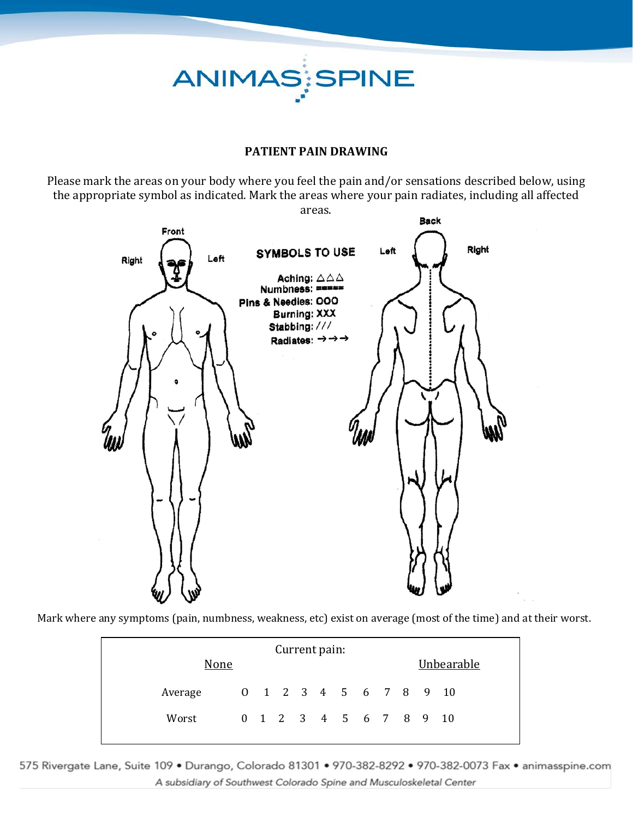ANIMAS;SPINE

### **PATIENT PAIN DRAWING**

Please mark the areas on your body where you feel the pain and/or sensations described below, using the appropriate symbol as indicated. Mark the areas where your pain radiates, including all affected



Mark where any symptoms (pain, numbness, weakness, etc) exist on average (most of the time) and at their worst.

| Current pain: |  |  |  |  |  |                        |  |  |  |            |  |
|---------------|--|--|--|--|--|------------------------|--|--|--|------------|--|
| None          |  |  |  |  |  |                        |  |  |  | Unbearable |  |
| Average       |  |  |  |  |  | 0 1 2 3 4 5 6 7 8 9 10 |  |  |  |            |  |
| Worst         |  |  |  |  |  | 0 1 2 3 4 5 6 7 8 9 10 |  |  |  |            |  |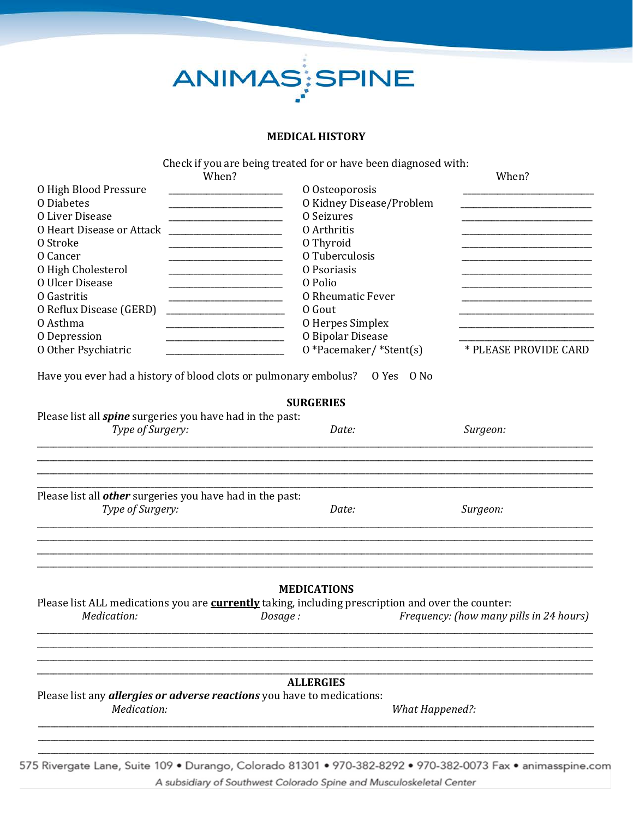

### **MEDICAL HISTORY**

Check if you are being treated for or have been diagnosed with:

|                                                                                                                                                          | When?                                                                                                                                 | When?                                                                                                                |
|----------------------------------------------------------------------------------------------------------------------------------------------------------|---------------------------------------------------------------------------------------------------------------------------------------|----------------------------------------------------------------------------------------------------------------------|
| O High Blood Pressure                                                                                                                                    | O Osteoporosis                                                                                                                        |                                                                                                                      |
| <b>O</b> Diabetes                                                                                                                                        | O Kidney Disease/Problem<br><u> 1980 - Johann Barbara, martin a</u>                                                                   | <u> 1980 - Johann Stein, mars an deus an deus an deus an deus an deus an deus an deus an deus an deus an deus an</u> |
| <b>O Liver Disease</b>                                                                                                                                   | <b>O</b> Seizures                                                                                                                     |                                                                                                                      |
| O Heart Disease or Attack                                                                                                                                | 0 Arthritis                                                                                                                           |                                                                                                                      |
| O Stroke                                                                                                                                                 | 0 Thyroid<br><u> 1989 - Johann John Stoff, deutscher Stoffen und der Stoffen und der Stoffen und der Stoffen und der Stoffen u</u>    |                                                                                                                      |
| O Cancer                                                                                                                                                 | O Tuberculosis                                                                                                                        |                                                                                                                      |
| O High Cholesterol                                                                                                                                       | O Psoriasis<br><u> 1989 - Johann John Harry Harry Harry Harry Harry Harry Harry Harry Harry Harry Harry Harry Harry Harry Harry H</u> |                                                                                                                      |
| <b>O Ulcer Disease</b>                                                                                                                                   | O Polio<br><u> 1989 - Johann John Stone, mensk politik fotograf (d. 1989)</u>                                                         |                                                                                                                      |
| O Gastritis                                                                                                                                              | <b>O Rheumatic Fever</b>                                                                                                              |                                                                                                                      |
| O Reflux Disease (GERD)                                                                                                                                  | O Gout                                                                                                                                |                                                                                                                      |
| 0 Asthma                                                                                                                                                 | O Herpes Simplex                                                                                                                      |                                                                                                                      |
| O Depression                                                                                                                                             | O Bipolar Disease                                                                                                                     |                                                                                                                      |
| 0 Other Psychiatric                                                                                                                                      | 0 *Pacemaker/ *Stent(s)                                                                                                               | * PLEASE PROVIDE CARD                                                                                                |
|                                                                                                                                                          | Have you ever had a history of blood clots or pulmonary embolus? O Yes O No                                                           |                                                                                                                      |
|                                                                                                                                                          | <b>SURGERIES</b>                                                                                                                      |                                                                                                                      |
|                                                                                                                                                          |                                                                                                                                       |                                                                                                                      |
|                                                                                                                                                          |                                                                                                                                       |                                                                                                                      |
| Type of Surgery:                                                                                                                                         | Date:                                                                                                                                 | Surgeon:                                                                                                             |
| Please list all <i>spine</i> surgeries you have had in the past:<br>Please list all <i>other</i> surgeries you have had in the past:<br>Type of Surgery: | Date:                                                                                                                                 | Surgeon:                                                                                                             |
| Medication:                                                                                                                                              | <b>MEDICATIONS</b><br>Please list ALL medications you are currently taking, including prescription and over the counter:<br>Dosage:   | Frequency: (how many pills in 24 hours)                                                                              |

A subsidiary of Southwest Colorado Spine and Musculoskeletal Center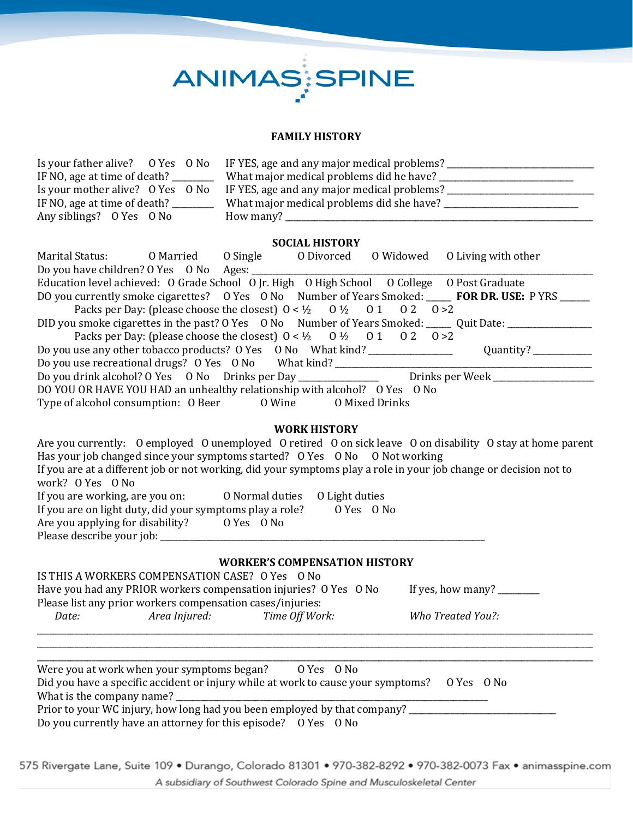# ANIMAS SPINE

#### **FAMILY HISTORY**

| Is your father alive? O Yes O No | IF YES, age and any major medical problems? |
|----------------------------------|---------------------------------------------|
| IF NO, age at time of death?     | What major medical problems did he have?    |
| Is your mother alive? O Yes O No | IF YES, age and any major medical problems? |
| IF NO, age at time of death?     | What major medical problems did she have?   |
| Any siblings? O Yes O No         | How many? $\overline{\phantom{0}}$          |

#### **SOCIAL HISTORY**

| Marital Status: 0 Married 0 Single 0 Divorced 0 Widowed 0 Living with other                 |                                                                                                                                      |  |                                                                                                      |
|---------------------------------------------------------------------------------------------|--------------------------------------------------------------------------------------------------------------------------------------|--|------------------------------------------------------------------------------------------------------|
| Do you have children? O Yes O No Ages: _________                                            |                                                                                                                                      |  |                                                                                                      |
| Education level achieved: O Grade School O Jr. High O High School O College O Post Graduate |                                                                                                                                      |  |                                                                                                      |
|                                                                                             |                                                                                                                                      |  | DO you currently smoke cigarettes? O Yes O No Number of Years Smoked: _____ FOR DR. USE: P YRS _____ |
|                                                                                             | Packs per Day: (please choose the closest) $0 < \frac{1}{2}$ $0 \frac{1}{2}$ $0 \frac{1}{2}$ $0 \frac{1}{2}$ $0 \frac{2}{3}$ $0 > 2$ |  |                                                                                                      |
|                                                                                             |                                                                                                                                      |  | DID you smoke cigarettes in the past? O Yes O No Number of Years Smoked: Quit Date: ______           |
|                                                                                             | Packs per Day: (please choose the closest) $0 < \frac{1}{2}$ $0 \frac{1}{2}$ $0 \frac{1}{2}$ $0 \frac{1}{2}$ $0 \frac{2}{3}$         |  |                                                                                                      |
| Do you use any other tobacco products? O Yes O No What kind?                                |                                                                                                                                      |  | Quantity?                                                                                            |
| Do you use recreational drugs? O Yes O No What kind?                                        |                                                                                                                                      |  |                                                                                                      |
| Do you drink alcohol? O Yes O No Drinks per Day _____________                               |                                                                                                                                      |  | Drinks per Week                                                                                      |
| DO YOU OR HAVE YOU HAD an unhealthy relationship with alcohol? O Yes O No                   |                                                                                                                                      |  |                                                                                                      |
| Type of alcohol consumption: 0 Beer 0 Wine 0 Mixed Drinks                                   |                                                                                                                                      |  |                                                                                                      |

#### **WORK HISTORY**

| Are you currently: O employed O unemployed O retired O on sick leave O on disability O stay at home parent        |                                |            |  |  |
|-------------------------------------------------------------------------------------------------------------------|--------------------------------|------------|--|--|
| Has your job changed since your symptoms started? O Yes O No O Not working                                        |                                |            |  |  |
| If you are at a different job or not working, did your symptoms play a role in your job change or decision not to |                                |            |  |  |
| work? O Yes O No                                                                                                  |                                |            |  |  |
| If you are working, are you on:                                                                                   | O Normal duties O Light duties |            |  |  |
| If you are on light duty, did your symptoms play a role?                                                          |                                | O Yes O No |  |  |
| Are you applying for disability?                                                                                  | O Yes O No                     |            |  |  |
| Please describe your job: _________                                                                               |                                |            |  |  |
|                                                                                                                   |                                |            |  |  |

#### **WORKER'S COMPENSATION HISTORY**

\_\_\_\_\_\_\_\_\_\_\_\_\_\_\_\_\_\_\_\_\_\_\_\_\_\_\_\_\_\_\_\_\_\_\_\_\_\_\_\_\_\_\_\_\_\_\_\_\_\_\_\_\_\_\_\_\_\_\_\_\_\_\_\_\_\_\_\_\_\_\_\_\_\_\_\_\_\_\_\_\_\_\_\_\_\_\_\_\_\_\_\_\_\_\_\_\_\_\_\_\_\_\_\_\_\_\_\_\_\_\_\_\_\_\_\_\_\_\_\_\_\_\_\_\_\_\_\_\_\_\_\_ \_\_\_\_\_\_\_\_\_\_\_\_\_\_\_\_\_\_\_\_\_\_\_\_\_\_\_\_\_\_\_\_\_\_\_\_\_\_\_\_\_\_\_\_\_\_\_\_\_\_\_\_\_\_\_\_\_\_\_\_\_\_\_\_\_\_\_\_\_\_\_\_\_\_\_\_\_\_\_\_\_\_\_\_\_\_\_\_\_\_\_\_\_\_\_\_\_\_\_\_\_\_\_\_\_\_\_\_\_\_\_\_\_\_\_\_\_\_\_\_\_\_\_\_\_\_\_\_\_\_\_\_

| Have you had any PRIOR workers compensation injuries? O Yes O No |  |                                                                                                      |  |  |  |  |
|------------------------------------------------------------------|--|------------------------------------------------------------------------------------------------------|--|--|--|--|
| Please list any prior workers compensation cases/injuries:       |  |                                                                                                      |  |  |  |  |
| Area Iniured:                                                    |  | Who Treated You?:                                                                                    |  |  |  |  |
|                                                                  |  | IS THIS A WORKERS COMPENSATION CASE? O Yes O No<br>If yes, how many? $\frac{1}{2}$<br>Time Off Work: |  |  |  |  |

| Were you at work when your symptoms began?<br>O Yes O No                                    |
|---------------------------------------------------------------------------------------------|
| Did you have a specific accident or injury while at work to cause your symptoms? O Yes O No |
| What is the company name?                                                                   |
| Prior to your WC injury, how long had you been employed by that company?                    |
| Do you currently have an attorney for this episode? O Yes O No                              |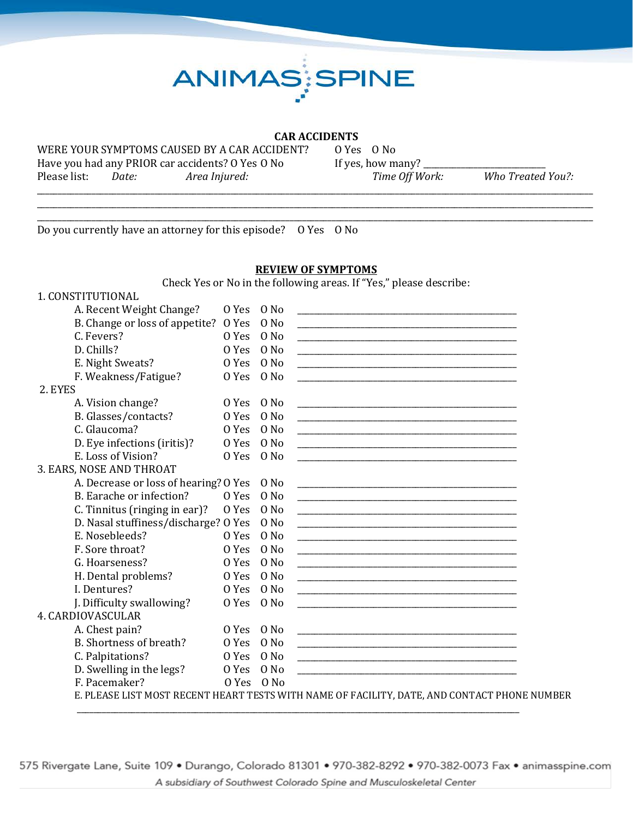

#### **CAR ACCIDENTS**

WERE YOUR SYMPTOMS CAUSED BY A CAR ACCIDENT? O Yes O No<br>Have you had any PRIOR car accidents? O Yes O No If yes, how many? Have you had any PRIOR car accidents? O Yes O No If yes, how many? \_\_\_\_\_\_\_\_\_\_\_\_\_\_<br>Please list: Date: Area Injured: Time Off Work:

Please list: *Date: Area Injured: Time Off Work: Who Treated You?:*

\_\_\_\_\_\_\_\_\_\_\_\_\_\_\_\_\_\_\_\_\_\_\_\_\_\_\_\_\_\_\_\_\_\_\_\_\_\_\_\_\_\_\_\_\_\_\_\_\_\_\_\_\_\_\_\_\_\_\_\_\_\_\_\_\_\_\_\_\_\_\_\_\_\_\_\_\_\_\_\_\_\_\_\_\_\_\_\_\_\_\_\_\_\_\_\_\_\_\_\_\_\_\_\_\_\_\_\_\_\_\_\_\_\_\_\_\_\_\_\_\_\_\_\_\_\_\_\_\_\_\_\_ Do you currently have an attorney for this episode? O Yes O No

#### **REVIEW OF SYMPTOMS**

\_\_\_\_\_\_\_\_\_\_\_\_\_\_\_\_\_\_\_\_\_\_\_\_\_\_\_\_\_\_\_\_\_\_\_\_\_\_\_\_\_\_\_\_\_\_\_\_\_\_\_\_\_\_\_\_\_\_\_\_\_\_\_\_\_\_\_\_\_\_\_\_\_\_\_\_\_\_\_\_\_\_\_\_\_\_\_\_\_\_\_\_\_\_\_\_\_\_\_\_\_\_\_\_\_\_\_\_\_\_\_\_\_\_\_\_\_\_\_\_\_\_\_\_\_\_\_\_\_\_\_\_ \_\_\_\_\_\_\_\_\_\_\_\_\_\_\_\_\_\_\_\_\_\_\_\_\_\_\_\_\_\_\_\_\_\_\_\_\_\_\_\_\_\_\_\_\_\_\_\_\_\_\_\_\_\_\_\_\_\_\_\_\_\_\_\_\_\_\_\_\_\_\_\_\_\_\_\_\_\_\_\_\_\_\_\_\_\_\_\_\_\_\_\_\_\_\_\_\_\_\_\_\_\_\_\_\_\_\_\_\_\_\_\_\_\_\_\_\_\_\_\_\_\_\_\_\_\_\_\_\_\_\_\_

Check Yes or No in the following areas. If "Yes," please describe:

### 1. CONSTITUTIONAL

| A. Recent Weight Change?                   | 0 Yes      | O No             | <u> 1980 - Johann John Stein, Amerikaansk politiker († 1908)</u>                                                      |
|--------------------------------------------|------------|------------------|-----------------------------------------------------------------------------------------------------------------------|
| B. Change or loss of appetite? O Yes       |            | $0$ No           | <u> 1990 - Johann Stein, marwolaethau a bhann an t-Amhain an t-Amhain an t-Amhain an t-Amhain an t-Amhain an t-A</u>  |
| C. Fevers?                                 | 0 Yes      | 0 No             |                                                                                                                       |
| D. Chills?                                 | 0 Yes      | $0$ No           |                                                                                                                       |
| E. Night Sweats?                           | 0 Yes      | O No             |                                                                                                                       |
| F. Weakness/Fatigue?                       | 0 Yes      | O No             |                                                                                                                       |
| 2. EYES                                    |            |                  |                                                                                                                       |
| A. Vision change?                          | O Yes O No |                  |                                                                                                                       |
| B. Glasses/contacts?                       | 0 Yes      | $0$ No           | <u> 1980 - Johann John Harry, mars and deutscher Amerikaanse kommunister († 1901)</u>                                 |
| C. Glaucoma?                               | 0 Yes      | 0 No             |                                                                                                                       |
| D. Eye infections (iritis)?                | 0 Yes      | 0 N <sub>0</sub> | <u> 1980 - Jan James James Jan James James James James James James James James James James James James James Jam</u>  |
| E. Loss of Vision?                         | 0 Yes      | O No             |                                                                                                                       |
| 3. EARS, NOSE AND THROAT                   |            |                  |                                                                                                                       |
| A. Decrease or loss of hearing? O Yes O No |            |                  | <u> 1980 - Jan James James Barnett, amerikan bizko bainar (h. 1980).</u>                                              |
| B. Earache or infection?                   | 0 Yes      | $0$ No           |                                                                                                                       |
| C. Tinnitus (ringing in ear)?              | 0 Yes      | O No             |                                                                                                                       |
| D. Nasal stuffiness/discharge? O Yes       |            | 0 No             |                                                                                                                       |
| E. Nosebleeds?                             | 0 Yes      | O No             |                                                                                                                       |
| F. Sore throat?                            | 0 Yes      | O No             | <u> 1980 - Johann John Harry, mars ar yw i ganwys y cyfan y cyfan y cyfan y cyfan y cyfan y cyfan y cyfan y cyfa</u>  |
| G. Hoarseness?                             | 0 Yes      | $0$ No           |                                                                                                                       |
| H. Dental problems?                        | 0 Yes      | 0 No             | <u> 1980 - Jan James James, martin amerikan basar dan berasal dari personal dan berasal dari berasal dalam berasa</u> |
| I. Dentures?                               | 0 Yes      | $0$ No           |                                                                                                                       |
| J. Difficulty swallowing?                  | 0 Yes      | O No             |                                                                                                                       |
| 4. CARDIOVASCULAR                          |            |                  |                                                                                                                       |
| A. Chest pain?                             | 0 Yes      | O No             |                                                                                                                       |
| B. Shortness of breath?                    | 0 Yes      | $0$ No           |                                                                                                                       |
| C. Palpitations?                           | O Yes O No |                  |                                                                                                                       |
| D. Swelling in the legs?                   | 0 Yes      | $0$ No           | <u> 1990 - Johann John Stone, markin film yn y brening yn y brening yn y brening yn y brening yn y brening yn y b</u> |
| F. Pacemaker?                              | O Yes O No |                  |                                                                                                                       |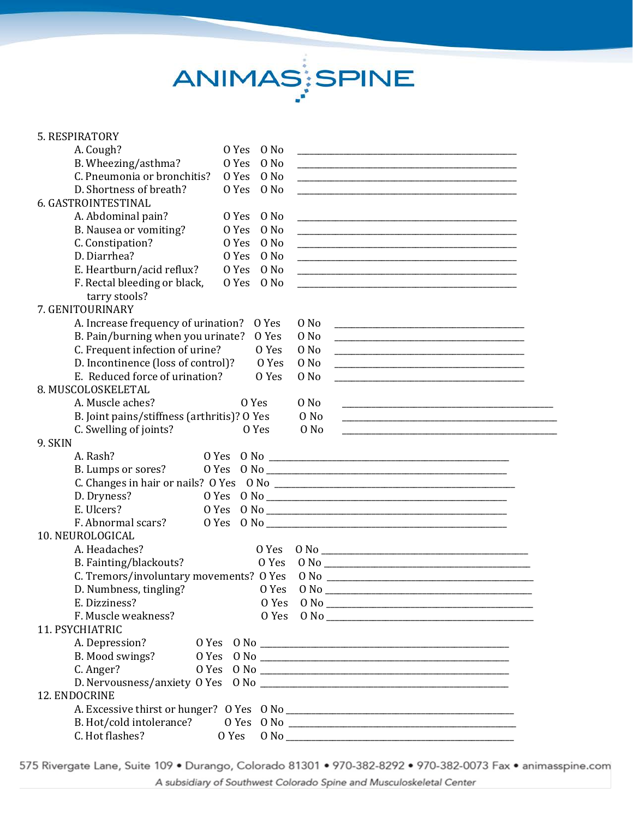# ANIMAS SPINE

| 5. RESPIRATORY                              |                 |                       |                                                                                                                        |  |
|---------------------------------------------|-----------------|-----------------------|------------------------------------------------------------------------------------------------------------------------|--|
| A. Cough?                                   | $0$ No<br>0 Yes |                       |                                                                                                                        |  |
| B. Wheezing/asthma?                         | 0 Yes<br>0 No   |                       |                                                                                                                        |  |
| C. Pneumonia or bronchitis?                 | 0 Yes<br>0 No   |                       |                                                                                                                        |  |
| D. Shortness of breath?                     | 0 Yes<br>O No   |                       | <u> 1989 - Johann John Stein, markin fan it ferskearre fan it ferskearre fan it ferskearre fan it ferskearre fan</u>   |  |
| 6. GASTROINTESTINAL                         |                 |                       |                                                                                                                        |  |
| A. Abdominal pain?                          | 0 Yes<br>0 No   |                       |                                                                                                                        |  |
| B. Nausea or vomiting?                      | 0 No<br>0 Yes   |                       |                                                                                                                        |  |
| C. Constipation?                            | 0 Yes<br>O No   |                       |                                                                                                                        |  |
| D. Diarrhea?                                | 0 Yes<br>0 No   |                       |                                                                                                                        |  |
| E. Heartburn/acid reflux?                   | 0 Yes<br>$0$ No |                       | <u> 1980 - Jan James James Barnett, amerikan bestean ingilang pada 2000 - pada 2000 - pada 2000 - pada 2000 - pada</u> |  |
| F. Rectal bleeding or black,                | 0 Yes<br>0 No   |                       | <u> 1989 - Johann Stein, marwolaethau a bhann an t-Amhain an t-Amhain an t-Amhain an t-Amhain an t-Amhain an t-A</u>   |  |
| tarry stools?                               |                 |                       |                                                                                                                        |  |
| 7. GENITOURINARY                            |                 |                       |                                                                                                                        |  |
| A. Increase frequency of urination?         | 0 Yes           | O No                  |                                                                                                                        |  |
| B. Pain/burning when you urinate?           | O Yes           | O No                  |                                                                                                                        |  |
| C. Frequent infection of urine?             | 0 Yes           | O No                  |                                                                                                                        |  |
| D. Incontinence (loss of control)?          | O Yes           | O No                  | <u> 1980 - Johann John Stone, mars eta biztanleria (h. 1980).</u>                                                      |  |
| E. Reduced force of urination?              | 0 Yes           | O No                  |                                                                                                                        |  |
| 8. MUSCOLOSKELETAL                          |                 |                       |                                                                                                                        |  |
| A. Muscle aches?                            | 0 Yes           | $0$ No                |                                                                                                                        |  |
| B. Joint pains/stiffness (arthritis)? O Yes |                 | 0 No                  |                                                                                                                        |  |
| C. Swelling of joints?                      | O Yes           | 0 No                  | <u> 1989 - Johann John Stein, markin fan it ferskearre fan it ferskearre fan it ferskearre fan it ferskearre fan</u>   |  |
| 9. SKIN                                     |                 |                       |                                                                                                                        |  |
| A. Rash?                                    |                 |                       |                                                                                                                        |  |
| B. Lumps or sores?                          |                 |                       |                                                                                                                        |  |
|                                             |                 |                       |                                                                                                                        |  |
| D. Dryness?                                 |                 |                       |                                                                                                                        |  |
| E. Ulcers?                                  |                 |                       |                                                                                                                        |  |
| F. Abnormal scars?                          |                 |                       |                                                                                                                        |  |
| 10. NEUROLOGICAL                            |                 |                       |                                                                                                                        |  |
| A. Headaches?                               | 0 Yes           |                       |                                                                                                                        |  |
| B. Fainting/blackouts?                      | O Yes           |                       |                                                                                                                        |  |
| C. Tremors/involuntary movements? O Yes     |                 |                       |                                                                                                                        |  |
| D. Numbness, tingling?                      | 0 Yes           | $0$ No $\overline{0}$ |                                                                                                                        |  |
| E. Dizziness?                               | 0 Yes           |                       |                                                                                                                        |  |
| F. Muscle weakness?                         | 0 Yes           |                       |                                                                                                                        |  |
| 11. PSYCHIATRIC                             |                 |                       |                                                                                                                        |  |
| A. Depression?                              |                 |                       |                                                                                                                        |  |
| B. Mood swings?                             |                 |                       |                                                                                                                        |  |
| C. Anger?                                   |                 |                       |                                                                                                                        |  |
|                                             |                 |                       |                                                                                                                        |  |
| 12. ENDOCRINE                               |                 |                       |                                                                                                                        |  |
|                                             |                 |                       |                                                                                                                        |  |
|                                             |                 |                       |                                                                                                                        |  |
| C. Hot flashes?                             | O Yes           |                       |                                                                                                                        |  |
|                                             |                 |                       |                                                                                                                        |  |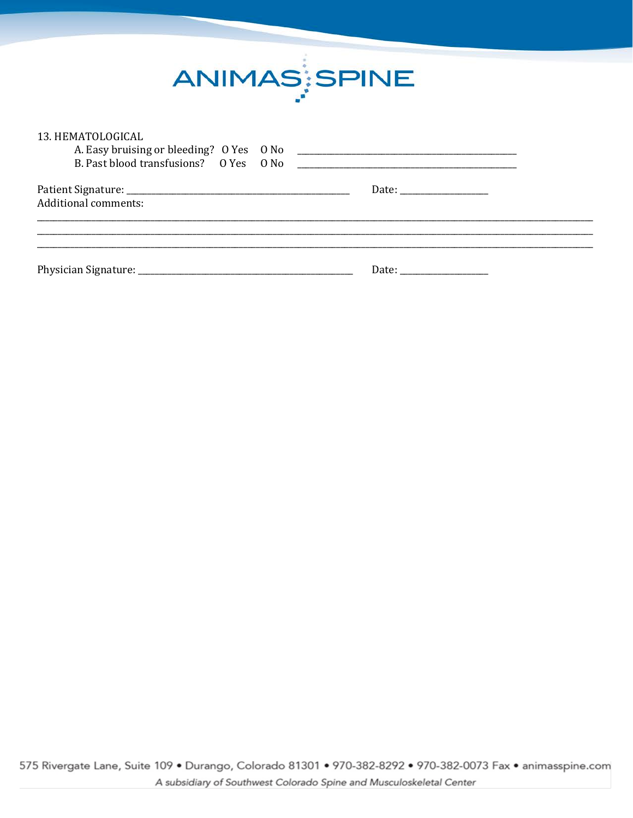

| 13. HEMATOLOGICAL           |  |
|-----------------------------|--|
| <b>Additional comments:</b> |  |
|                             |  |
|                             |  |